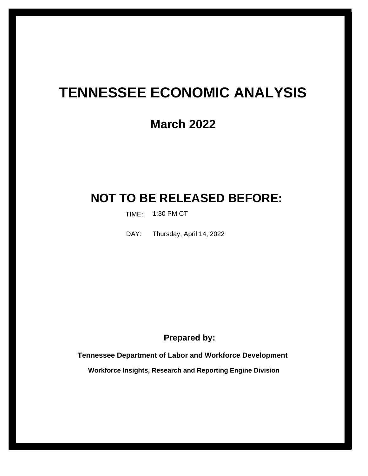# **TENNESSEE ECONOMIC ANALYSIS**

# **March 2022**

# **NOT TO BE RELEASED BEFORE:**

TIME: 1:30 PM CT

Thursday, April 14, 2022 DAY:

**Prepared by:**

**Tennessee Department of Labor and Workforce Development**

**Workforce Insights, Research and Reporting Engine Division**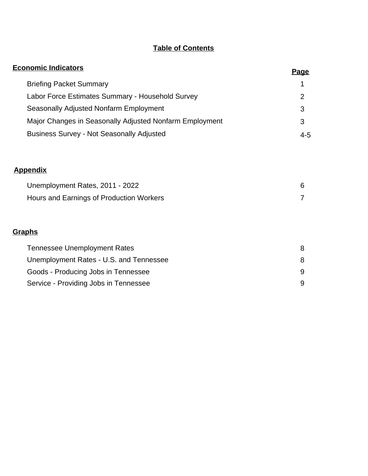# **Table of Contents**

| <b>Economic Indicators</b>                              | <u>Page</u>    |
|---------------------------------------------------------|----------------|
| <b>Briefing Packet Summary</b>                          | 1              |
| Labor Force Estimates Summary - Household Survey        | $\overline{2}$ |
| Seasonally Adjusted Nonfarm Employment                  | 3              |
| Major Changes in Seasonally Adjusted Nonfarm Employment | 3              |
| <b>Business Survey - Not Seasonally Adjusted</b>        | $4 - 5$        |
|                                                         |                |
| <b>Appendix</b>                                         |                |
| Unemployment Rates, 2011 - 2022                         | 6              |
| Hours and Earnings of Production Workers                | 7              |
| Graphs                                                  |                |
| <b>Tennessee Unemployment Rates</b>                     | 8              |
| Unemployment Rates - U.S. and Tennessee                 | 8              |
| Goods - Producing Jobs in Tennessee                     | 9              |
| Service - Providing Jobs in Tennessee                   | 9              |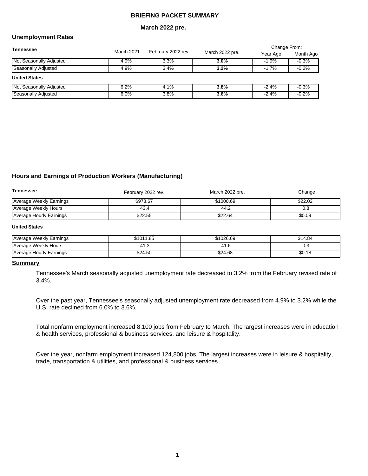### **BRIEFING PACKET SUMMARY**

#### **March 2022 pre.**

### **Unemployment Rates**

| <b>Tennessee</b>               |      |                                  | March 2022 pre. | Change From: |           |
|--------------------------------|------|----------------------------------|-----------------|--------------|-----------|
|                                |      | March 2021<br>February 2022 rev. |                 | Year Ago     | Month Ago |
| <b>Not Seasonally Adjusted</b> | 4.9% | 3.3%                             | 3.0%            | $-1.9%$      | $-0.3%$   |
| Seasonally Adjusted            | 4.9% | 3.4%                             | 3.2%            | $-1.7\%$     | $-0.2%$   |
| <b>United States</b>           |      |                                  |                 |              |           |
| <b>Not Seasonally Adjusted</b> | 6.2% | 4.1%                             | 3.8%            | $-2.4%$      | $-0.3%$   |
| Seasonally Adjusted            | 6.0% | 3.8%                             | 3.6%            | $-2.4%$      | $-0.2%$   |

#### **Hours and Earnings of Production Workers (Manufacturing)**

| Tennessee               | February 2022 rev. | March 2022 pre. | Change  |
|-------------------------|--------------------|-----------------|---------|
| Average Weekly Earnings | \$978.67           | \$1000.69       | \$22.02 |
| Average Weekly Hours    | 43.4               | 44.2            | 0.8     |
| Average Hourly Earnings | \$22.55            | \$22.64         | \$0.09  |

#### **United States**

| <b>Average Weekly Earnings</b> | \$1011.85 | \$1026.69 | 14.84ھ |
|--------------------------------|-----------|-----------|--------|
| Average Weekly Hours           | $\cdots$  | 4         | ∪.∪    |
| Average Hourly Earnings        | \$24.50   | \$24.68   | \$0.18 |

#### **Summary**

Tennessee's March seasonally adjusted unemployment rate decreased to 3.2% from the February revised rate of 3.4%.

Over the past year, Tennessee's seasonally adjusted unemployment rate decreased from 4.9% to 3.2% while the U.S. rate declined from 6.0% to 3.6%.

Total nonfarm employment increased 8,100 jobs from February to March. The largest increases were in education & health services, professional & business services, and leisure & hospitality.

Over the year, nonfarm employment increased 124,800 jobs. The largest increases were in leisure & hospitality, trade, transportation & utilities, and professional & business services.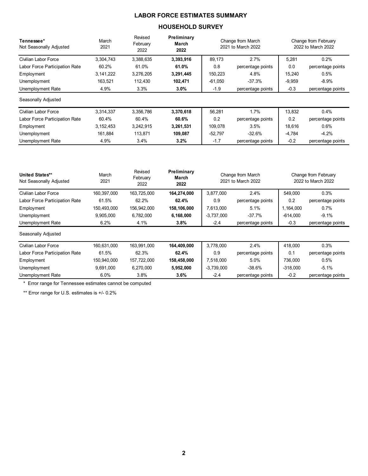# LABOR FORCE ESTIMATES SUMMARY

### HOUSEHOLD SURVEY

| Tennessee*<br>Not Seasonally Adjusted             | March<br>2021 | Revised<br>February<br>2022 | Preliminary<br>March<br>2022 |                                         | Change from March<br>2021 to March 2022 |          | Change from February<br>2022 to March 2022 |
|---------------------------------------------------|---------------|-----------------------------|------------------------------|-----------------------------------------|-----------------------------------------|----------|--------------------------------------------|
| Civilian Labor Force                              | 3,304,743     | 3,388,635                   | 3,393,916                    | 89,173                                  | 2.7%                                    | 5,281    | 0.2%                                       |
| Labor Force Participation Rate                    | 60.2%         | 61.0%                       | 61.0%                        | 0.8                                     | percentage points                       | 0.0      | percentage points                          |
| Employment                                        | 3,141,222     | 3,276,205                   | 3,291,445                    | 150,223                                 | 4.8%                                    | 15,240   | 0.5%                                       |
| Unemployment                                      | 163,521       | 112,430                     | 102,471                      | $-61,050$                               | $-37.3%$                                | $-9,959$ | $-8.9%$                                    |
| Unemployment Rate                                 | 4.9%          | 3.3%                        | $3.0\%$                      | $-1.9$                                  | percentage points                       | $-0.3$   | percentage points                          |
| Seasonally Adjusted                               |               |                             |                              |                                         |                                         |          |                                            |
| Civilian Labor Force                              | 3,314,337     | 3,356,786                   | 3,370,618                    | 56,281                                  | 1.7%                                    |          | 0.4%                                       |
| Labor Force Participation Rate                    | 60.4%         | 60.4%                       | 60.6%                        | 0.2                                     | percentage points                       | 0.2      | percentage points                          |
| Employment                                        | 3,152,453     | 3,242,915                   | 3,261,531                    | 109,078                                 | 3.5%                                    | 18,616   | 0.6%                                       |
| Unemployment                                      | 161,884       | 113,871                     | 109,087                      | $-52,797$                               | $-32.6%$                                | $-4,784$ | $-4.2%$                                    |
| Unemployment Rate                                 | 4.9%          | 3.4%                        | 3.2%                         | $-1.7$                                  | percentage points                       | $-0.2$   | percentage points                          |
| <b>United States**</b><br>Not Seasonally Adjusted | March<br>2021 | Revised<br>February<br>2022 | Preliminary<br>March<br>2022 | Change from March<br>2021 to March 2022 |                                         |          | Change from February<br>2022 to March 2022 |
|                                                   |               |                             |                              |                                         |                                         |          |                                            |

| Civilian Labor Force           | 160,397,000 | 163,725,000 | 164,274,000 | 3,877,000    | 2.4%              | 549,000    | 0.3%              |
|--------------------------------|-------------|-------------|-------------|--------------|-------------------|------------|-------------------|
| Labor Force Participation Rate | 61.5%       | 62.2%       | 62.4%       | 0.9          | percentage points | 0.2        | percentage points |
| Employment                     | 150,493,000 | 156,942,000 | 158,106,000 | 7,613,000    | 5.1%              | 1,164,000  | 0.7%              |
| Unemployment                   | 9,905,000   | 6,782,000   | 6,168,000   | $-3.737.000$ | -37.7%            | $-614,000$ | $-9.1%$           |
| Unemployment Rate              | 6.2%        | 4.1%        | 3.8%        | $-2.4$       | percentage points | $-0.3$     | percentage points |
| Seasonally Adjusted            |             |             |             |              |                   |            |                   |
| Civilian Labor Force           | 160,631,000 | 163,991,000 | 164,409,000 | 3,778,000    | 2.4%              | 418,000    | 0.3%              |
| Labor Force Participation Rate | 61.5%       | 62.3%       | 62.4%       | 0.9          | percentage points | 0.1        | percentage points |
| Employment                     | 150,940,000 | 157,722,000 | 158,458,000 | 7,518,000    | 5.0%              | 736.000    | 0.5%              |
| Unemployment                   | 9,691,000   | 6,270,000   | 5,952,000   | $-3,739,000$ | -38.6%            | $-318.000$ | $-5.1%$           |
| Unemployment Rate              | $6.0\%$     | 3.8%        | 3.6%        | $-2.4$       | percentage points | $-0.2$     | percentage points |

\* Error range for Tennessee estimates cannot be computed

\*\* Error range for U.S. estimates is +/- 0.2%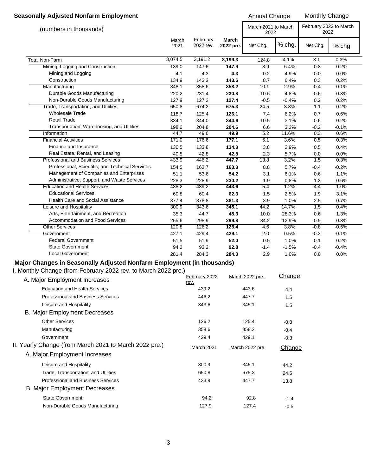# **Seasonally Adjusted Nonfarm Employment Annual Change Monthly Change** Monthly Change

| (numbers in thousands)                           |               |                       |                    | March 2021 to March<br>2022 |         | February 2022 to March<br>2022 |         |  |
|--------------------------------------------------|---------------|-----------------------|--------------------|-----------------------------|---------|--------------------------------|---------|--|
|                                                  | March<br>2021 | February<br>2022 rev. | March<br>2022 pre. | Net Chg.                    | % chg.  | Net Chg.                       | % chg.  |  |
| <b>Total Non-Farm</b>                            | 3,074.5       | 3,191.2               | 3,199.3            | 124.8                       | 4.1%    | 8.1                            | 0.3%    |  |
| Mining, Logging and Construction                 | 139.0         | 147.6                 | 147.9              | 8.9                         | 6.4%    | 0.3                            | 0.2%    |  |
| Mining and Logging                               | 4.1           | 4.3                   | 4.3                | 0.2                         | 4.9%    | 0.0                            | 0.0%    |  |
| Construction                                     | 134.9         | 143.3                 | 143.6              | 8.7                         | 6.4%    | 0.3                            | 0.2%    |  |
| Manufacturing                                    | 348.1         | 358.6                 | 358.2              | 10.1                        | 2.9%    | $-0.4$                         | $-0.1%$ |  |
| Durable Goods Manufacturing                      | 220.2         | 231.4                 | 230.8              | 10.6                        | 4.8%    | $-0.6$                         | $-0.3%$ |  |
| Non-Durable Goods Manufacturing                  | 127.9         | 127.2                 | 127.4              | $-0.5$                      | $-0.4%$ | 0.2                            | 0.2%    |  |
| Trade, Transportation, and Utilities             | 650.8         | 674.2                 | 675.3              | 24.5                        | 3.8%    | 1.1                            | 0.2%    |  |
| <b>Wholesale Trade</b>                           | 118.7         | 125.4                 | 126.1              | 7.4                         | 6.2%    | 0.7                            | 0.6%    |  |
| <b>Retail Trade</b>                              | 334.1         | 344.0                 | 344.6              | 10.5                        | 3.1%    | 0.6                            | 0.2%    |  |
| Transportation, Warehousing, and Utilities       | 198.0         | 204.8                 | 204.6              | 6.6                         | 3.3%    | $-0.2$                         | $-0.1%$ |  |
| Information                                      | 44.7          | 49.6                  | 49.9               | 5.2                         | 11.6%   | 0.3                            | 0.6%    |  |
| <b>Financial Activities</b>                      | 171.0         | 176.6                 | 177.1              | 6.1                         | 3.6%    | 0.5                            | 0.3%    |  |
| Finance and Insurance                            | 130.5         | 133.8                 | 134.3              | 3.8                         | 2.9%    | 0.5                            | 0.4%    |  |
| Real Estate, Rental, and Leasing                 | 40.5          | 42.8                  | 42.8               | 2.3                         | 5.7%    | 0.0                            | 0.0%    |  |
| <b>Professional and Business Services</b>        | 433.9         | 446.2                 | 447.7              | 13.8                        | 3.2%    | 1.5                            | 0.3%    |  |
| Professional, Scientific, and Technical Services | 154.5         | 163.7                 | 163.3              | 8.8                         | 5.7%    | $-0.4$                         | $-0.2%$ |  |
| Management of Companies and Enterprises          | 51.1          | 53.6                  | 54.2               | 3.1                         | 6.1%    | 0.6                            | 1.1%    |  |
| Administrative, Support, and Waste Services      | 228.3         | 228.9                 | 230.2              | 1.9                         | 0.8%    | 1.3                            | 0.6%    |  |
| <b>Education and Health Services</b>             | 438.2         | 439.2                 | 443.6              | 5.4                         | 1.2%    | 4.4                            | 1.0%    |  |
| <b>Educational Services</b>                      | 60.8          | 60.4                  | 62.3               | 1.5                         | 2.5%    | 1.9                            | 3.1%    |  |
| Health Care and Social Assistance                | 377.4         | 378.8                 | 381.3              | 3.9                         | 1.0%    | 2.5                            | 0.7%    |  |
| Leisure and Hospitality                          | 300.9         | 343.6                 | 345.1              | 44.2                        | 14.7%   | 1.5                            | 0.4%    |  |
| Arts, Entertainment, and Recreation              | 35.3          | 44.7                  | 45.3               | 10.0                        | 28.3%   | 0.6                            | 1.3%    |  |
| <b>Accommodation and Food Services</b>           | 265.6         | 298.9                 | 299.8              | 34.2                        | 12.9%   | 0.9                            | 0.3%    |  |
| <b>Other Services</b>                            | 120.8         | 126.2                 | 125.4              | 4.6                         | 3.8%    | $-0.8$                         | $-0.6%$ |  |
| Government                                       | 427.1         | 429.4                 | 429.1              | 2.0                         | 0.5%    | $-0.3$                         | $-0.1%$ |  |
| <b>Federal Government</b>                        | 51.5          | 51.9                  | 52.0               | 0.5                         | 1.0%    | 0.1                            | 0.2%    |  |
| <b>State Government</b>                          | 94.2          | 93.2                  | 92.8               | $-1.4$                      | $-1.5%$ | $-0.4$                         | $-0.4%$ |  |
| <b>Local Government</b>                          | 281.4         | 284.3                 | 284.3              | 2.9                         | 1.0%    | 0.0                            | 0.0%    |  |

# **Major Changes in Seasonally Adjusted Nonfarm Employment (in thousands)**

I. Monthly Change (from February 2022 rev. to March 2022 pre.)

| A. Major Employment Increases                          | February 2022 | March 2022 pre. | Change |
|--------------------------------------------------------|---------------|-----------------|--------|
|                                                        | rev.          |                 |        |
| <b>Education and Health Services</b>                   | 439.2         | 443.6           | 4.4    |
| <b>Professional and Business Services</b>              | 446.2         | 447.7           | 1.5    |
| Leisure and Hospitality                                | 343.6         | 345.1           | 1.5    |
| <b>B. Major Employment Decreases</b>                   |               |                 |        |
| <b>Other Services</b>                                  | 126.2         | 125.4           | $-0.8$ |
| Manufacturing                                          | 358.6         | 358.2           | $-0.4$ |
| Government                                             | 429.4         | 429.1           | $-0.3$ |
| II. Yearly Change (from March 2021 to March 2022 pre.) | March 2021    | March 2022 pre. | Change |
| A. Major Employment Increases                          |               |                 |        |
| Leisure and Hospitality                                | 300.9         | 345.1           | 44.2   |
| Trade, Transportation, and Utilities                   | 650.8         | 675.3           | 24.5   |
| Professional and Business Services                     | 433.9         | 447.7           | 13.8   |
| <b>B. Major Employment Decreases</b>                   |               |                 |        |
| <b>State Government</b>                                | 94.2          | 92.8            | $-1.4$ |
| Non-Durable Goods Manufacturing                        | 127.9         | 127.4           | $-0.5$ |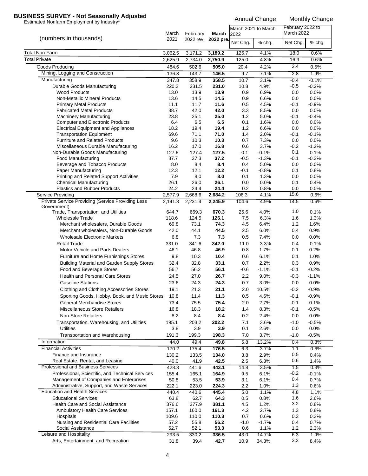# **BUSINESS SURVEY - Not Seasonally Adjusted**<br>Estimated Nonfarm Employment by Industry\*<br>Annual Change Monthly Change

|                                                                                           | March         | February      | March               | March 2021 to March<br>2022 |                    | February 2022 to<br><b>March 2022</b> |                    |
|-------------------------------------------------------------------------------------------|---------------|---------------|---------------------|-----------------------------|--------------------|---------------------------------------|--------------------|
| (numbers in thousands)                                                                    | 2021          |               | 2022 rev. 2022 pre. | Net Chg.                    | % chg.             | Net Chg.                              | % chg.             |
| Total Non-Farm                                                                            | 3,062.5       | 3,171.2       | 3,189.2             | 126.7                       | 4.1%               | 18.0                                  | 0.6%               |
| <b>Total Private</b>                                                                      | 2,625.9       | 2,734.0       | 2,750.9             | 125.0                       | 4.8%               | 16.9                                  | 0.6%               |
| Goods Producing                                                                           | 484.6         | 502.6         | 505.0               | 20.4                        | 4.2%               | 2.4                                   | 0.5%               |
| Mining, Logging and Construction                                                          | 136.8         | 143.7         | 146.5               | 9.7                         | 7.1%               | 2.8                                   | 1.9%               |
| Manufacturing                                                                             | 347.8         | 358.9         | 358.5               | 10.7                        | 3.1%               | $-0.4$                                | $-0.1%$            |
| Durable Goods Manufacturing                                                               | 220.2         | 231.5         | 231.0               | 10.8                        | 4.9%               | $-0.5$                                | $-0.2%$            |
| <b>Wood Products</b><br>Non-Metallic Mineral Products                                     | 13.0<br>13.6  | 13.9<br>14.5  | 13.9<br>14.5        | 0.9<br>0.9                  | 6.9%<br>6.6%       | 0.0<br>0.0                            | 0.0%<br>0.0%       |
| <b>Primary Metal Products</b>                                                             | 11.1          | 11.7          | 11.6                | 0.5                         | 4.5%               | -0.1                                  | $-0.9%$            |
| <b>Fabricated Metal Products</b>                                                          | 38.7          | 42.0          | 42.0                | 3.3                         | 8.5%               | 0.0                                   | 0.0%               |
| <b>Machinery Manufacturing</b>                                                            | 23.8          | 25.1          | 25.0                | 1.2                         | 5.0%               | -0.1                                  | $-0.4%$            |
| <b>Computer and Electronic Products</b>                                                   | 6.4           | 6.5           | 6.5                 | 0.1                         | 1.6%               | 0.0                                   | 0.0%               |
| <b>Electrical Equipment and Appliances</b>                                                | 18.2          | 19.4          | 19.4                | 1.2                         | 6.6%               | 0.0                                   | 0.0%               |
| <b>Transportation Equipment</b>                                                           | 69.6          | 71.1          | 71.0                | 1.4                         | 2.0%               | -0.1                                  | $-0.1%$            |
| <b>Furniture and Related Products</b>                                                     | 9.6           | 10.3          | 10.3                | 0.7                         | 7.3%               | 0.0                                   | 0.0%               |
| Miscellaneous Durable Manufacturing                                                       | 16.2          | 17.0          | 16.8                | 0.6                         | 3.7%               | $-0.2$<br>0.1                         | $-1.2%$            |
| Non-Durable Goods Manufacturing<br><b>Food Manufacturing</b>                              | 127.6<br>37.7 | 127.4<br>37.3 | 127.5<br>37.2       | $-0.1$<br>$-0.5$            | $-0.1%$<br>$-1.3%$ | -0.1                                  | 0.1%<br>$-0.3%$    |
| Beverage and Tobacco Products                                                             | 8.0           | 8.4           | 8.4                 | 0.4                         | 5.0%               | 0.0                                   | 0.0%               |
| Paper Manufacturing                                                                       | 12.3          | 12.1          | 12.2                | $-0.1$                      | $-0.8%$            | 0.1                                   | 0.8%               |
| Printing and Related Support Activities                                                   | 7.9           | 8.0           | 8.0                 | 0.1                         | 1.3%               | 0.0                                   | 0.0%               |
| <b>Chemical Manufacturing</b>                                                             | 26.1          | 26.0          | 26.1                | 0.0                         | 0.0%               | 0.1                                   | 0.4%               |
| Plastics and Rubber Products                                                              | 24.2          | 24.4          | 24.4                | 0.2                         | 0.8%               | 0.0                                   | 0.0%               |
| Service Providing                                                                         | 2,577.9       | 2,668.6       | 2,684.2             | 106.3                       | 4.1%               | 15.6                                  | 0.6%               |
| Private Service Providing (Service Providing Less<br>Government)                          | 2,141.3       | 2,231.4       | 2,245.9             | 104.6                       | 4.9%               | 14.5                                  | 0.6%               |
| Trade, Transportation, and Utilities                                                      | 644.7         | 669.3         | 670.3               | 25.6                        | 4.0%               | 1.0                                   | 0.1%               |
| <b>Wholesale Trade</b>                                                                    | 118.6         | 124.5         | 126.1               | 7.5                         | 6.3%               | 1.6                                   | 1.3%               |
| Merchant wholesalers, Durable Goods                                                       | 69.8          | 73.1          | 74.3                | 4.5                         | 6.4%               | 1.2                                   | 1.6%               |
| Merchant wholesalers, Non-Durable Goods                                                   | 42.0          | 44.1          | 44.5                | 2.5                         | 6.0%               | 0.4                                   | 0.9%               |
| <b>Wholesale Electronic Markets</b>                                                       | 6.8           | 7.3           | 7.3                 | 0.5                         | 7.4%               | 0.0                                   | 0.0%               |
| <b>Retail Trade</b>                                                                       | 331.0         | 341.6         | 342.0               | 11.0                        | 3.3%               | 0.4                                   | 0.1%               |
| Motor Vehicle and Parts Dealers                                                           | 46.1          | 46.8          | 46.9                | 0.8                         | 1.7%               | 0.1                                   | 0.2%               |
| Furniture and Home Furnishings Stores                                                     | 9.8           | 10.3          | 10.4                | 0.6                         | 6.1%               | 0.1                                   | 1.0%               |
| Building Material and Garden Supply Stores<br>Food and Beverage Stores                    | 32.4          | 32.8          | 33.1                | 0.7                         | 2.2%<br>$-1.1%$    | 0.3                                   | 0.9%               |
| <b>Health and Personal Care Stores</b>                                                    | 56.7<br>24.5  | 56.2<br>27.0  | 56.1<br>26.7        | $-0.6$<br>2.2               | 9.0%               | -0.1<br>$-0.3$                        | $-0.2%$<br>$-1.1%$ |
| <b>Gasoline Stations</b>                                                                  | 23.6          | 24.3          | 24.3                | 0.7                         | 3.0%               | 0.0                                   | 0.0%               |
|                                                                                           | 19.1          | 21.3          | 21.1                | 2.0                         | 10.5%              | $-0.2$                                | $-0.9%$            |
| Clothing and Clothing Accessories Stores<br>Sporting Goods, Hobby, Book, and Music Stores | 10.8          | 11.4          | 11.3                | 0.5                         | 4.6%               | $-0.1$                                | $-0.9%$            |
| General Merchandise Stores                                                                | 73.4          | 75.5          | 75.4                | 2.0                         | 2.7%               | $-0.1$                                | $-0.1%$            |
| <b>Miscellaneous Store Retailers</b>                                                      | 16.8          | 18.3          | 18.2                | 1.4                         | 8.3%               | $-0.1$                                | $-0.5%$            |
| <b>Non-Store Retailers</b>                                                                | 8.2           | 8.4           | 8.4                 | 0.2                         | 2.4%               | 0.0                                   | 0.0%               |
| Transportation, Warehousing, and Utilities                                                | 195.1         | 203.2         | 202.2               | 7.1                         | 3.6%               | $-1.0$                                | $-0.5%$            |
| Utilities                                                                                 | 3.8           | 3.9           | 3.9                 | 0.1                         | 2.6%               | 0.0                                   | 0.0%               |
| Transportation and Warehousing                                                            | 191.3         | 199.3         | 198.3               | 7.0                         | 3.7%               | $-1.0$                                | $-0.5%$            |
| Information                                                                               | 44.0          | 49.4          | 49.8                | 5.8                         | 13.2%              | 0.4                                   | 0.8%               |
| <b>Financial Activities</b>                                                               | 170.2         | 175.4         | 176.5               | 6.3                         | 3.7%               | 1.1                                   | 0.6%               |
| Finance and Insurance                                                                     | 130.2         | 133.5         | 134.0               | 3.8                         | 2.9%               | 0.5                                   | 0.4%               |
| Real Estate, Rental, and Leasing                                                          | 40.0          | 41.9          | 42.5                | 2.5                         | 6.3%               | 0.6                                   | 1.4%               |
| Professional and Business Services                                                        | 428.3         | 441.6         | 443.1               | 14.8                        | 3.5%               | 1.5                                   | 0.3%               |
| Professional, Scientific, and Technical Services                                          | 155.4         | 165.1         | 164.9               | 9.5                         | 6.1%               | $-0.2$                                | $-0.1%$            |
| Management of Companies and Enterprises                                                   | 50.8          | 53.5          | 53.9                | 3.1                         | 6.1%               | 0.4                                   | 0.7%               |
| Administrative, Support, and Waste Services                                               | 222.1         | 223.0         | 224.3               | 2.2                         | 1.0%               | 1.3                                   | 0.6%               |
| <b>Education and Health Services</b>                                                      | 440.4         | 440.6         | 445.4               | 5.0                         | 1.1%               | 4.8                                   | 1.1%               |
| <b>Educational Services</b><br><b>Health Care and Social Assistance</b>                   | 63.8<br>376.6 | 62.7<br>377.9 | 64.3<br>381.1       | 0.5<br>4.5                  | 0.8%<br>1.2%       | 1.6<br>3.2                            | 2.6%<br>0.8%       |
| <b>Ambulatory Health Care Services</b>                                                    | 157.1         | 160.0         | 161.3               | 4.2                         | 2.7%               | 1.3                                   | 0.8%               |
| Hospitals                                                                                 | 109.6         | 110.0         | 110.3               | 0.7                         | 0.6%               | 0.3                                   | 0.3%               |
| Nursing and Residential Care Facilities                                                   | 57.2          | 55.8          | 56.2                | $-1.0$                      | $-1.7%$            | 0.4                                   | 0.7%               |
| Social Assistance                                                                         | 52.7          | 52.1          | 53.3                | 0.6                         | 1.1%               | 1.2                                   | 2.3%               |
| Leisure and Hospitality                                                                   | 293.5         | 330.2         | 336.5               | 43.0                        | 14.7%              | 6.3                                   | 1.9%               |
| Arts, Entertainment, and Recreation                                                       | 31.8          | 39.4          | 42.7                | 10.9                        | 34.3%              | 3.3                                   | 8.4%               |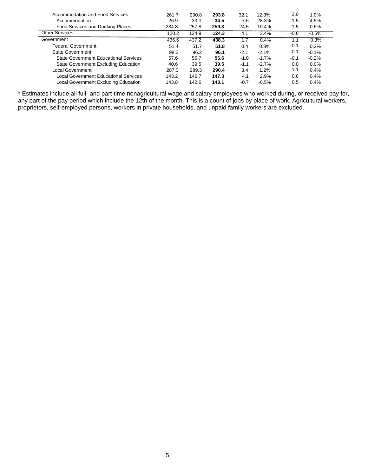| Accommodation and Food Services       | 261.7 | 290.8 | 293.8 | 32.1   | 12.3%   | 3.0    | 1.0%     |
|---------------------------------------|-------|-------|-------|--------|---------|--------|----------|
| Accommodation                         | 26.9  | 33.0  | 34.5  | 7.6    | 28.3%   | 1.5    | 4.5%     |
| Food Services and Drinking Places     | 234.8 | 257.8 | 259.3 | 24.5   | 10.4%   | 1.5    | 0.6%     |
| <b>Other Services</b>                 | 120.2 | 124.9 | 124.3 | 4.1    | 3.4%    | -0.6   | $-0.5\%$ |
| Government                            | 436.6 | 437.2 | 438.3 |        | 0.4%    |        | 0.3%     |
| <b>Federal Government</b>             | 51.4  | 51.7  | 51.8  | 0.4    | 0.8%    | 0.1    | 0.2%     |
| <b>State Government</b>               | 98.2  | 96.2  | 96.1  | $-2.1$ | $-2.1%$ | $-0.1$ | $-0.1%$  |
| State Government Educational Services | 57.6  | 56.7  | 56.6  | $-1.0$ | $-1.7%$ | $-0.1$ | $-0.2%$  |
| State Government Excluding Education  | 40.6  | 39.5  | 39.5  | $-1.1$ | $-2.7%$ | 0.0    | 0.0%     |
| Local Government                      | 287.0 | 289.3 | 290.4 | 3.4    | 1.2%    | 1.1    | 0.4%     |
| Local Government Educational Services | 143.2 | 146.7 | 147.3 | 4.1    | 2.9%    | 0.6    | 0.4%     |
| Local Government Excluding Education  | 143.8 | 142.6 | 143.1 | $-0.7$ | $-0.5%$ | 0.5    | 0.4%     |

\* Estimates include all full- and part-time nonagricultural wage and salary employees who worked during, or received pay for, any part of the pay period which include the 12th of the month. This is a count of jobs by place of work. Agricultural workers, proprietors, self-employed persons, workers in private households, and unpaid family workers are excluded.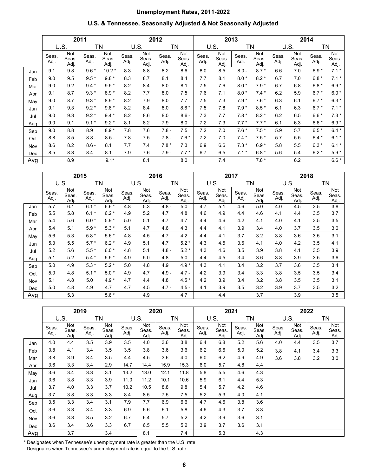# **Unemployment Rates, 2011-2022**

### **U.S. & Tennessee, Seasonally Adjusted & Not Seasonally Adjusted**

|     |               | 2011                 |               |                       |               |                      | 2012          |                      |               | 2013                 |               |                      |               |                      | 2014          |                      |
|-----|---------------|----------------------|---------------|-----------------------|---------------|----------------------|---------------|----------------------|---------------|----------------------|---------------|----------------------|---------------|----------------------|---------------|----------------------|
|     | U.S.          |                      |               | <b>TN</b>             | U.S.<br>TN    |                      |               | U.S.                 | TN            |                      |               | U.S.                 |               | ΤN                   |               |                      |
|     | Seas.<br>Adj. | Not<br>Seas.<br>Adj. | Seas.<br>Adj. | Not.<br>Seas.<br>Adj. | Seas.<br>Adj. | Not<br>Seas.<br>Adj. | Seas.<br>Adj. | Not<br>Seas.<br>Adj. | Seas.<br>Adj. | Not<br>Seas.<br>Adj. | Seas.<br>Adj. | Not<br>Seas.<br>Adj. | Seas.<br>Adj. | Not<br>Seas.<br>Adj. | Seas.<br>Adj. | Not<br>Seas.<br>Adj. |
| Jan | 9.1           | 9.8                  | $9.6*$        | $10.2*$               | 8.3           | 8.8                  | 8.2           | 8.6                  | 8.0           | 8.5                  | $8.0 -$       | $8.7*$               | 6.6           | 7.0                  | $6.9*$        | $7.1*$               |
| Feb | 9.0           | 9.5                  | $9.5*$        | $9.8*$                | 8.3           | 8.7                  | 8.1           | 8.4                  | 7.7           | 8.1                  | $8.0*$        | $8.2*$               | 6.7           | 7.0                  | $6.8*$        | $7.1*$               |
| Mar | 9.0           | 9.2                  | $9.4*$        | $9.5*$                | 8.2           | 8.4                  | 8.0           | 8.1                  | 7.5           | 7.6                  | $8.0*$        | $7.9*$               | 6.7           | 6.8                  | $6.8*$        | $6.9*$               |
| Apr | 9.1           | 8.7                  | $9.3*$        | $8.9*$                | 8.2           | 7.7                  | 8.0           | 7.5                  | 7.6           | 7.1                  | $8.0*$        | $7.4*$               | 6.2           | 5.9                  | $6.7*$        | $6.0*$               |
| May | 9.0           | 8.7                  | $9.3*$        | $8.9*$                | 8.2           | 7.9                  | 8.0           | 7.7                  | 7.5           | 7.3                  | $7.9*$        | $7.6*$               | 6.3           | 6.1                  | $6.7*$        | $6.3*$               |
| Jun | 9.1           | 9.3                  | $9.2*$        | $9.8*$                | 8.2           | 8.4                  | 8.0           | $8.6*$               | 7.5           | 7.8                  | $7.9*$        | $8.5*$               | 6.1           | 6.3                  | $6.7*$        | $7.1*$               |
| Jul | 9.0           | 9.3                  | $9.2*$        | $9.4*$                | 8.2           | 8.6                  | 8.0           | $8.6 -$              | 7.3           | 7.7                  | $7.8*$        | $8.2*$               | 6.2           | 6.5                  | $6.6*$        | $7.3*$               |
| Aug | 9.0           | 9.1                  | $9.1*$        | $9.2*$                | 8.1           | 8.2                  | 7.9           | 8.0                  | 7.2           | 7.3                  | $7.7*$        | $7.7*$               | 6.1           | 6.3                  | $6.6*$        | $6.9*$               |
| Sep | 9.0           | 8.8                  | 8.9           | $8.9*$                | 7.8           | 7.6                  | $7.8 -$       | 7.5                  | 7.2           | 7.0                  | $7.6*$        | $7.5*$               | 5.9           | 5.7                  | $6.5*$        | $6.4*$               |
| Oct | 8.8           | 8.5                  | $8.8 -$       | $8.5 -$               | 7.8           | 7.5                  | $7.8 -$       | $7.6*$               | 7.2           | 7.0                  | $7.4*$        | $7.5*$               | 5.7           | 5.5                  | $6.4*$        | $6.1*$               |
| Nov | 8.6           | 8.2                  | $8.6 -$       | 8.1                   | 7.7           | 7.4                  | $7.8*$        | 7.3                  | 6.9           | 6.6                  | $7.3*$        | $6.9*$               | 5.8           | 5.5                  | $6.3*$        | $6.1*$               |
| Dec | 8.5           | 8.3                  | 8.4           | 8.1                   | 7.9           | 7.6                  | $7.9 -$       | $7.7*$               | 6.7           | 6.5                  | $7.1*$        | $6.8*$               | 5.6           | 5.4                  | $6.2*$        | $5.9*$               |
| Avg |               | 8.9                  |               | $9.1*$                |               | 8.1                  |               | 8.0                  |               | 7.4                  |               | $7.8*$               |               | 6.2                  |               | $6.6*$               |

|     | 2015          |                     |               |                      |               |                      | 2016          |                      | 2017          |                      |               |                      | 2018          |                      |               |                      |
|-----|---------------|---------------------|---------------|----------------------|---------------|----------------------|---------------|----------------------|---------------|----------------------|---------------|----------------------|---------------|----------------------|---------------|----------------------|
|     | U.S.          |                     |               | ΤN                   |               | U.S.                 | ΤN            |                      | U.S.          |                      |               | ΤN                   |               | U.S.                 |               | ΤN                   |
|     | Seas.<br>Adj. | Not<br>Seas.<br>Adj | Seas.<br>Adj. | Not<br>Seas.<br>Adj. | Seas.<br>Adj. | Not<br>Seas.<br>Adj. | Seas.<br>Adj. | Not<br>Seas.<br>Adj. | Seas.<br>Adj. | Not<br>Seas.<br>Adj. | Seas.<br>Adj. | Not<br>Seas.<br>Adj. | Seas.<br>Adj. | Not<br>Seas.<br>Adj. | Seas.<br>Adj. | Not<br>Seas.<br>Adj. |
| Jan | 5.7           | 6.1                 | $6.1*$        | $6.6*$               | 4.8           | 5.3                  | $4.8 -$       | 5.0                  | 4.7           | 5.1                  | 4.6           | 5.0                  | 4.0           | 4.5                  | 3.5           | 3.8                  |
| Feb | 5.5           | 5.8                 | 6.1           | $6.2*$               | 4.9           | 5.2                  | 4.7           | 4.8                  | 4.6           | 4.9                  | 4.4           | 4.6                  | 4.1           | 4.4                  | 3.5           | 3.7                  |
| Mar | 5.4           | 5.6                 | $6.0*$        | $5.9*$               | 5.0           | 5.1                  | 4.7           | 4.7                  | 4.4           | 4.6                  | 4.2           | 4.1                  | 4.0           | 4.1                  | 3.5           | 3.5                  |
| Apr | 5.4           | 5.1                 | $5.9*$        | $5.3*$               | 5.1           | 4.7                  | 4.6           | 4.3                  | 4.4           | 4.1                  | 3.9           | 3.4                  | 4.0           | 3.7                  | 3.5           | 3.0                  |
| May | 5.6           | 5.3                 | $5.8*$        | $5.6*$               | 4.8           | 4.5                  | 4.7           | 4.2                  | 4.4           | 4.1                  | 3.7           | 3.2                  | 3.8           | 3.6                  | 3.5           | 3.1                  |
| Jun | 5.3           | 5.5                 | $5.7*$        | $6.2*$               | 4.9           | 5.1                  | 4.7           | $5.2*$               | 4.3           | 4.5                  | 3.6           | 4.1                  | 4.0           | 4.2                  | 3.5           | 4.1                  |
| Jul | 5.2           | 5.6                 | $5.5*$        | $6.0*$               | 4.8           | 5.1                  | $4.8 -$       | $5.2*$               | 4.3           | 4.6                  | 3.5           | 3.9                  | 3.8           | 4.1                  | 3.5           | 3.9                  |
| Aug | 5.1           | 5.2                 | $5.4*$        | 5.5<br>$\ast$        | 4.9           | 5.0                  | 4.8           | $5.0 -$              | 4.4           | 4.5                  | 3.4           | 3.6                  | 3.8           | 3.9                  | 3.5           | 3.6                  |
| Sep | 5.0           | 4.9                 | $5.3*$        | $5.2*$               | 5.0           | 4.8                  | 4.9           | $4.9*$               | 4.3           | 4.1                  | 3.4           | 3.2                  | 3.7           | 3.6                  | 3.5           | 3.4                  |
| Oct | 5.0           | 4.8                 | 5.1           | $5.0*$               | 4.9           | 4.7                  | $4.9 -$       | $4.7 -$              | 4.2           | 3.9                  | 3.4           | 3.3                  | 3.8           | 3.5                  | 3.5           | 3.4                  |
| Nov | 5.1           | 4.8                 | 5.0           | $4.9*$               | 4.7           | 4.4                  | 4.8           | $4.5*$               | 4.2           | 3.9                  | 3.4           | 3.2                  | 3.8           | 3.5                  | 3.5           | 3.1                  |
| Dec | 5.0           | 4.8                 | 4.9           | 4.7                  | 4.7           | 4.5                  | $4.7 -$       | $4.5 -$              | 4.1           | 3.9                  | 3.5           | 3.2                  | 3.9           | 3.7                  | 3.5           | 3.2                  |
| Avg |               | 5.3                 |               | $5.6*$               |               | 4.9                  |               | 4.7                  |               | 4.4                  |               | 3.7                  |               | 3.9                  |               | 3.5                  |

|     | 2019          |                      |               |                      | 2020          |                      |               |                      | 2021          |                      |               |                      | 2022          |                      |               |                      |
|-----|---------------|----------------------|---------------|----------------------|---------------|----------------------|---------------|----------------------|---------------|----------------------|---------------|----------------------|---------------|----------------------|---------------|----------------------|
|     | <b>U.S.</b>   |                      | ΤN            |                      | U.S.          |                      | ΤN            |                      | U.S.          |                      | ΤN            |                      | U.S.          |                      | TN            |                      |
|     | Seas.<br>Adj. | Not<br>Seas.<br>Adj. | Seas.<br>Adj. | Not<br>Seas.<br>Adj. | Seas.<br>Adj. | Not<br>Seas.<br>Adj. | Seas.<br>Adj. | Not<br>Seas.<br>Adj. | Seas.<br>Adj. | Not<br>Seas.<br>Adj. | Seas.<br>Adj. | Not<br>Seas.<br>Adj. | Seas.<br>Adj. | Not<br>Seas.<br>Adj. | Seas.<br>Adj. | Not<br>Seas.<br>Adj. |
| Jan | 4.0           | 4.4                  | 3.5           | 3.9                  | 3.5           | 4.0                  | 3.6           | 3.8                  | 6.4           | 6.8                  | 5.2           | 5.6                  | 4.0           | 4.4                  | 3.5           | 3.7                  |
| Feb | 3.8           | 4.1                  | 3.4           | 3.5                  | 3.5           | 3.8                  | 3.6           | 3.6                  | 6.2           | 6.6                  | 5.0           | 5.2                  | 3.8           | 4.1                  | 3.4           | 3.3                  |
| Mar | 3.8           | 3.9                  | 3.4           | 3.5                  | 4.4           | 4.5                  | 3.6           | 4.0                  | 6.0           | 6.2                  | 4.9           | 4.9                  | 3.6           | 3.8                  | 3.2           | 3.0                  |
| Apr | 3.6           | 3.3                  | 3.4           | 2.9                  | 14.7          | 14.4                 | 15.9          | 15.3                 | 6.0           | 5.7                  | 4.8           | 4.4                  |               |                      |               |                      |
| May | 3.6           | 3.4                  | 3.3           | 3.1                  | 13.2          | 13.0                 | 12.1          | 11.8                 | 5.8           | 5.5                  | 4.6           | 4.3                  |               |                      |               |                      |
| Jun | 3.6           | 3.8                  | 3.3           | 3.9                  | 11.0          | 11.2                 | 10.1          | 10.6                 | 5.9           | 6.1                  | 4.4           | 5.3                  |               |                      |               |                      |
| Jul | 3.7           | 4.0                  | 3.3           | 3.7                  | 10.2          | 10.5                 | 8.8           | 9.8                  | 5.4           | 5.7                  | 4.2           | 4.6                  |               |                      |               |                      |
| Aug | 3.7           | 3.8                  | 3.3           | 3.3                  | 8.4           | 8.5                  | 7.5           | 7.5                  | 5.2           | 5.3                  | 4.0           | 4.1                  |               |                      |               |                      |
| Sep | 3.5           | 3.3                  | 3.4           | 3.1                  | 7.9           | 7.7                  | 6.9           | 6.6                  | 4.7           | 4.6                  | 3.8           | 3.6                  |               |                      |               |                      |
| Oct | 3.6           | 3.3                  | 3.4           | 3.3                  | 6.9           | 6.6                  | 6.1           | 5.8                  | 4.6           | 4.3                  | 3.7           | 3.3                  |               |                      |               |                      |
| Nov | 3.6           | 3.3                  | 3.5           | 3.2                  | 6.7           | 6.4                  | 5.7           | 5.2                  | 4.2           | 3.9                  | 3.6           | 3.1                  |               |                      |               |                      |
| Dec | 3.6           | 3.4                  | 3.6           | 3.3                  | 6.7           | 6.5                  | 5.5           | 5.2                  | 3.9           | 3.7                  | 3.6           | 3.1                  |               |                      |               |                      |
| Avg |               | 3.7                  |               | 3.4                  |               | 8.1                  |               | 7.4                  |               | 5.3                  |               | 4.3                  |               |                      |               |                      |

\* Designates when Tennessee's unemployment rate is greater than the U.S. rate

- Designates when Tennessee's unemployment rate is equal to the U.S. rate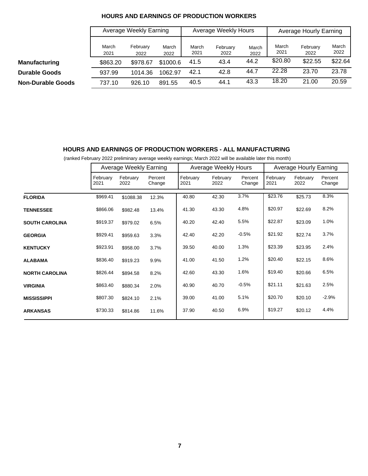|                          |               | Average Weekly Earning |               |               | Average Weekly Hours |               | Average Hourly Earning |                  |               |
|--------------------------|---------------|------------------------|---------------|---------------|----------------------|---------------|------------------------|------------------|---------------|
|                          | March<br>2021 | February<br>2022       | March<br>2022 | March<br>2021 | February<br>2022     | March<br>2022 | March<br>2021          | February<br>2022 | March<br>2022 |
| <b>Manufacturing</b>     | \$863.20      | \$978.67               | \$1000.6      | 41.5          | 43.4                 | 44.2          | \$20.80                | \$22.55          | \$22.64       |
| <b>Durable Goods</b>     | 937.99        | 1014.36                | 1062.97       | 42.1          | 42.8                 | 44.7          | 22.28                  | 23.70            | 23.78         |
| <b>Non-Durable Goods</b> | 737.10        | 926.10                 | 891.55        | 40.5          | 44.1                 | 43.3          | 18.20                  | 21.00            | 20.59         |

#### **HOURS AND EARNINGS OF PRODUCTION WORKERS**

### **HOURS AND EARNINGS OF PRODUCTION WORKERS - ALL MANUFACTURING**

(ranked February 2022 preliminary average weekly earnings; March 2022 will be available later this month)

|                       |                  | Average Weekly Earning |                   |                  | Average Weekly Hours |                   | Average Hourly Earning |                  |                   |  |
|-----------------------|------------------|------------------------|-------------------|------------------|----------------------|-------------------|------------------------|------------------|-------------------|--|
|                       | February<br>2021 | February<br>2022       | Percent<br>Change | February<br>2021 | February<br>2022     | Percent<br>Change | February<br>2021       | February<br>2022 | Percent<br>Change |  |
| <b>FLORIDA</b>        | \$969.41         | \$1088.38              | 12.3%             | 40.80            | 42.30                | 3.7%              | \$23.76                | \$25.73          | 8.3%              |  |
| <b>TENNESSEE</b>      | \$866.06         | \$982.48               | 13.4%             | 41.30            | 43.30                | 4.8%              | \$20.97                | \$22.69          | 8.2%              |  |
| <b>SOUTH CAROLINA</b> | \$919.37         | \$979.02               | 6.5%              | 40.20            | 42.40                | 5.5%              | \$22.87                | \$23.09          | 1.0%              |  |
| <b>GEORGIA</b>        | \$929.41         | \$959.63               | 3.3%              | 42.40            | 42.20                | $-0.5%$           | \$21.92                | \$22.74          | 3.7%              |  |
| <b>KENTUCKY</b>       | \$923.91         | \$958.00               | 3.7%              | 39.50            | 40.00                | 1.3%              | \$23.39                | \$23.95          | 2.4%              |  |
| <b>ALABAMA</b>        | \$836.40         | \$919.23               | 9.9%              | 41.00            | 41.50                | 1.2%              | \$20.40                | \$22.15          | 8.6%              |  |
| <b>NORTH CAROLINA</b> | \$826.44         | \$894.58               | 8.2%              | 42.60            | 43.30                | 1.6%              | \$19.40                | \$20.66          | 6.5%              |  |
| <b>VIRGINIA</b>       | \$863.40         | \$880.34               | 2.0%              | 40.90            | 40.70                | $-0.5%$           | \$21.11                | \$21.63          | 2.5%              |  |
| <b>MISSISSIPPI</b>    | \$807.30         | \$824.10               | 2.1%              | 39.00            | 41.00                | 5.1%              | \$20.70                | \$20.10          | $-2.9%$           |  |
| <b>ARKANSAS</b>       | \$730.33         | \$814.86               | 11.6%             | 37.90            | 40.50                | 6.9%              | \$19.27                | \$20.12          | 4.4%              |  |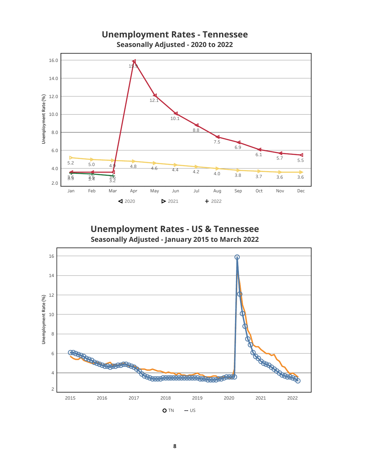

Unemployment Rates - US & Tennessee Seasonally Adjusted - January 2015 to March 2022